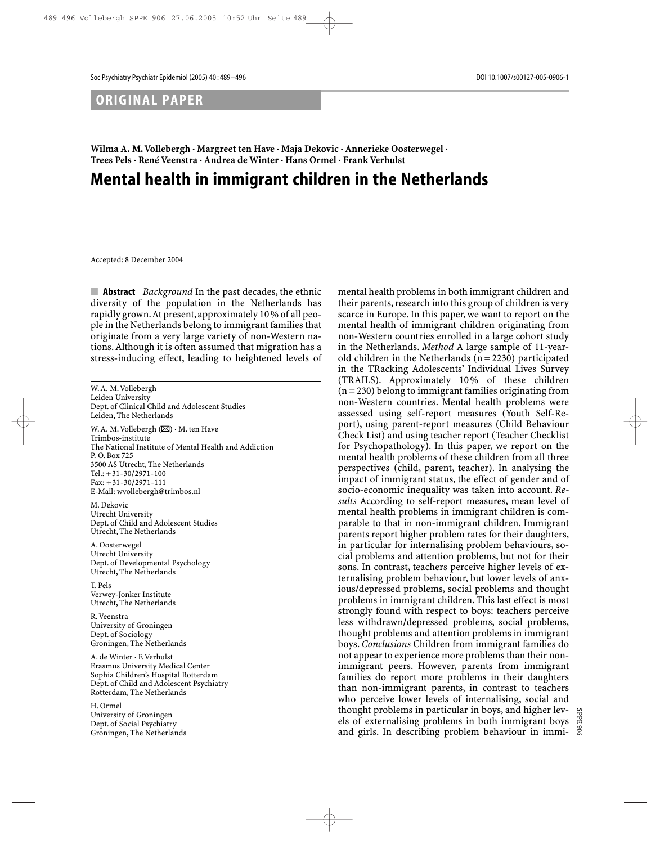# ORIGINAL PAPER

**Wilma A. M. Vollebergh · Margreet ten Have · Maja Dekovic · Annerieke Oosterwegel · Trees Pels · René Veenstra · Andrea de Winter · Hans Ormel · Frank Verhulst**

# Mental health in immigrant children in the Netherlands

Accepted: 8 December 2004

■ **Abstract** *Background* In the past decades, the ethnic diversity of the population in the Netherlands has rapidly grown.At present,approximately 10 % of all people in the Netherlands belong to immigrant families that originate from a very large variety of non-Western nations. Although it is often assumed that migration has a stress-inducing effect, leading to heightened levels of

W. A. M. Vollebergh Leiden University Dept. of Clinical Child and Adolescent Studies Leiden, The Netherlands

W. A. M. Vollebergh  $(\boxtimes) \cdot$  M. ten Have Trimbos-institute The National Institute of Mental Health and Addiction P. O. Box 725 3500 AS Utrecht, The Netherlands Tel.: +31-30/2971-100 Fax: +31-30/2971-111 E-Mail: wvollebergh@trimbos.nl

M. Dekovic Utrecht University Dept. of Child and Adolescent Studies Utrecht, The Netherlands

A. Oosterwegel Utrecht University Dept. of Developmental Psychology Utrecht, The Netherlands

T. Pels Verwey-Jonker Institute Utrecht, The Netherlands

R. Veenstra University of Groningen Dept. of Sociology Groningen, The Netherlands

A. de Winter · F. Verhulst Erasmus University Medical Center Sophia Children's Hospital Rotterdam Dept. of Child and Adolescent Psychiatry Rotterdam, The Netherlands

H. Ormel University of Groningen Dept. of Social Psychiatry Groningen, The Netherlands mental health problems in both immigrant children and their parents, research into this group of children is very scarce in Europe. In this paper, we want to report on the mental health of immigrant children originating from non-Western countries enrolled in a large cohort study in the Netherlands. *Method* A large sample of 11-yearold children in the Netherlands  $(n = 2230)$  participated in the TRacking Adolescents' Individual Lives Survey (TRAILS). Approximately 10 % of these children  $(n = 230)$  belong to immigrant families originating from non-Western countries. Mental health problems were assessed using self-report measures (Youth Self-Report), using parent-report measures (Child Behaviour Check List) and using teacher report (Teacher Checklist for Psychopathology). In this paper, we report on the mental health problems of these children from all three perspectives (child, parent, teacher). In analysing the impact of immigrant status, the effect of gender and of socio-economic inequality was taken into account. *Results* According to self-report measures, mean level of mental health problems in immigrant children is comparable to that in non-immigrant children. Immigrant parents report higher problem rates for their daughters, in particular for internalising problem behaviours, social problems and attention problems, but not for their sons. In contrast, teachers perceive higher levels of externalising problem behaviour, but lower levels of anxious/depressed problems, social problems and thought problems in immigrant children. This last effect is most strongly found with respect to boys: teachers perceive less withdrawn/depressed problems, social problems, thought problems and attention problems in immigrant boys. *Conclusions* Children from immigrant families do not appear to experience more problems than their nonimmigrant peers. However, parents from immigrant families do report more problems in their daughters than non-immigrant parents, in contrast to teachers who perceive lower levels of internalising, social and thought problems in particular in boys, and higher levels of externalising problems in both immigrant boys and girls. In describing problem behaviour in immi-

SPPE 906

SPPE ă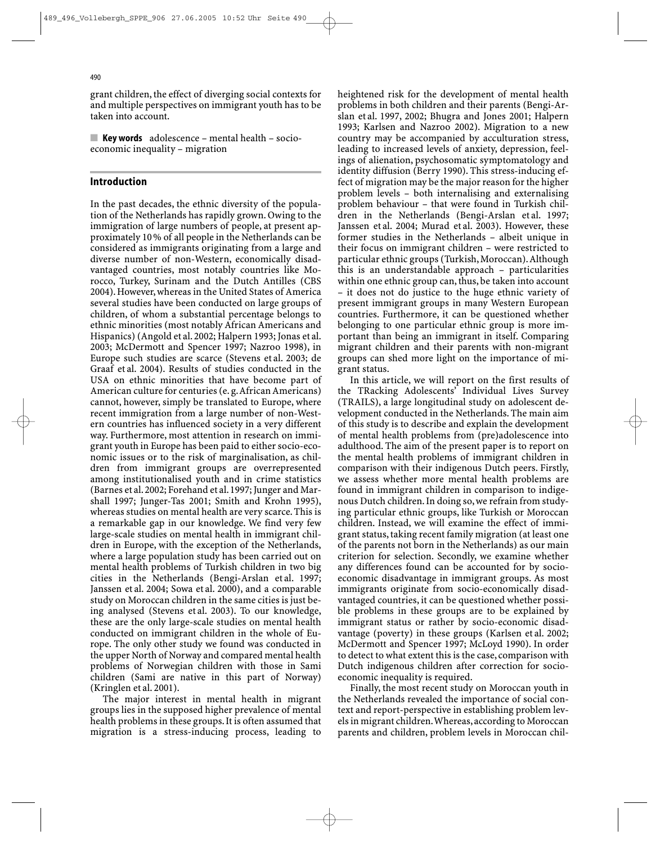grant children, the effect of diverging social contexts for and multiple perspectives on immigrant youth has to be taken into account.

**E** Key words  $\alpha$  adolescence – mental health – socioeconomic inequality – migration

## Introduction

In the past decades, the ethnic diversity of the population of the Netherlands has rapidly grown. Owing to the immigration of large numbers of people, at present approximately 10 % of all people in the Netherlands can be considered as immigrants originating from a large and diverse number of non-Western, economically disadvantaged countries, most notably countries like Morocco, Turkey, Surinam and the Dutch Antilles (CBS 2004). However, whereas in the United States of America several studies have been conducted on large groups of children, of whom a substantial percentage belongs to ethnic minorities (most notably African Americans and Hispanics) (Angold et al. 2002; Halpern 1993; Jonas et al. 2003; McDermott and Spencer 1997; Nazroo 1998), in Europe such studies are scarce (Stevens et al. 2003; de Graaf et al. 2004). Results of studies conducted in the USA on ethnic minorities that have become part of American culture for centuries (e. g.African Americans) cannot, however, simply be translated to Europe, where recent immigration from a large number of non-Western countries has influenced society in a very different way. Furthermore, most attention in research on immigrant youth in Europe has been paid to either socio-economic issues or to the risk of marginalisation, as children from immigrant groups are overrepresented among institutionalised youth and in crime statistics (Barnes et al. 2002; Forehand et al. 1997; Junger and Marshall 1997; Junger-Tas 2001; Smith and Krohn 1995), whereas studies on mental health are very scarce. This is a remarkable gap in our knowledge. We find very few large-scale studies on mental health in immigrant children in Europe, with the exception of the Netherlands, where a large population study has been carried out on mental health problems of Turkish children in two big cities in the Netherlands (Bengi-Arslan et al. 1997; Janssen et al. 2004; Sowa et al. 2000), and a comparable study on Moroccan children in the same cities is just being analysed (Stevens et al. 2003). To our knowledge, these are the only large-scale studies on mental health conducted on immigrant children in the whole of Europe. The only other study we found was conducted in the upper North of Norway and compared mental health problems of Norwegian children with those in Sami children (Sami are native in this part of Norway) (Kringlen et al. 2001).

The major interest in mental health in migrant groups lies in the supposed higher prevalence of mental health problems in these groups. It is often assumed that migration is a stress-inducing process, leading to

heightened risk for the development of mental health problems in both children and their parents (Bengi-Arslan et al. 1997, 2002; Bhugra and Jones 2001; Halpern 1993; Karlsen and Nazroo 2002). Migration to a new country may be accompanied by acculturation stress, leading to increased levels of anxiety, depression, feelings of alienation, psychosomatic symptomatology and identity diffusion (Berry 1990). This stress-inducing effect of migration may be the major reason for the higher problem levels – both internalising and externalising problem behaviour – that were found in Turkish children in the Netherlands (Bengi-Arslan et al. 1997; Janssen et al. 2004; Murad et al. 2003). However, these former studies in the Netherlands – albeit unique in their focus on immigrant children – were restricted to particular ethnic groups (Turkish, Moroccan).Although this is an understandable approach – particularities within one ethnic group can, thus, be taken into account – it does not do justice to the huge ethnic variety of present immigrant groups in many Western European countries. Furthermore, it can be questioned whether belonging to one particular ethnic group is more important than being an immigrant in itself. Comparing migrant children and their parents with non-migrant groups can shed more light on the importance of migrant status.

In this article, we will report on the first results of the TRacking Adolescents' Individual Lives Survey (TRAILS), a large longitudinal study on adolescent development conducted in the Netherlands. The main aim of this study is to describe and explain the development of mental health problems from (pre)adolescence into adulthood. The aim of the present paper is to report on the mental health problems of immigrant children in comparison with their indigenous Dutch peers. Firstly, we assess whether more mental health problems are found in immigrant children in comparison to indigenous Dutch children. In doing so, we refrain from studying particular ethnic groups, like Turkish or Moroccan children. Instead, we will examine the effect of immigrant status, taking recent family migration (at least one of the parents not born in the Netherlands) as our main criterion for selection. Secondly, we examine whether any differences found can be accounted for by socioeconomic disadvantage in immigrant groups. As most immigrants originate from socio-economically disadvantaged countries, it can be questioned whether possible problems in these groups are to be explained by immigrant status or rather by socio-economic disadvantage (poverty) in these groups (Karlsen et al. 2002; McDermott and Spencer 1997; McLoyd 1990). In order to detect to what extent this is the case, comparison with Dutch indigenous children after correction for socioeconomic inequality is required.

Finally, the most recent study on Moroccan youth in the Netherlands revealed the importance of social context and report-perspective in establishing problem levels in migrant children.Whereas,according to Moroccan parents and children, problem levels in Moroccan chil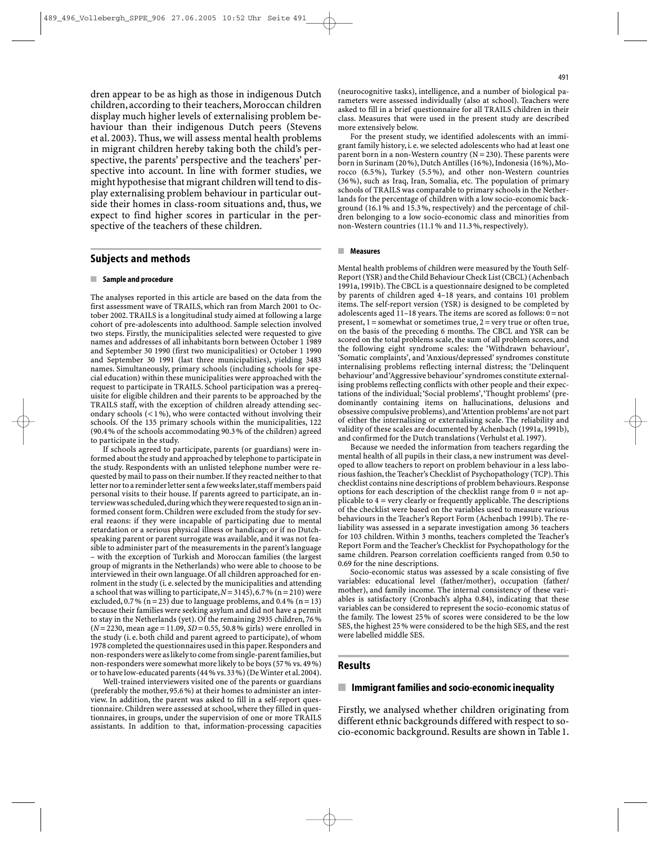dren appear to be as high as those in indigenous Dutch children, according to their teachers, Moroccan children display much higher levels of externalising problem behaviour than their indigenous Dutch peers (Stevens et al. 2003). Thus, we will assess mental health problems in migrant children hereby taking both the child's perspective, the parents' perspective and the teachers' perspective into account. In line with former studies, we might hypothesise that migrant children will tend to display externalising problem behaviour in particular outside their homes in class-room situations and, thus, we expect to find higher scores in particular in the perspective of the teachers of these children.

#### Subjects and methods

#### ■ Sample and procedure

The analyses reported in this article are based on the data from the first assessment wave of TRAILS, which ran from March 2001 to October 2002. TRAILS is a longitudinal study aimed at following a large cohort of pre-adolescents into adulthood. Sample selection involved two steps. Firstly, the municipalities selected were requested to give names and addresses of all inhabitants born between October 1 1989 and September 30 1990 (first two municipalities) or October 1 1990 and September 30 1991 (last three municipalities), yielding 3483 names. Simultaneously, primary schools (including schools for special education) within these municipalities were approached with the request to participate in TRAILS. School participation was a prerequisite for eligible children and their parents to be approached by the TRAILS staff, with the exception of children already attending secondary schools (< 1 %), who were contacted without involving their schools. Of the 135 primary schools within the municipalities, 122 (90.4 % of the schools accommodating 90.3 % of the children) agreed to participate in the study.

If schools agreed to participate, parents (or guardians) were informed about the study and approached by telephone to participate in the study. Respondents with an unlisted telephone number were requested by mail to pass on their number.If they reacted neither to that letter nor to a reminder letter sent a few weeks later, staff members paid personal visits to their house. If parents agreed to participate, an interview was scheduled,during which they were requested to sign an informed consent form. Children were excluded from the study for several reaons: if they were incapable of participating due to mental retardation or a serious physical illness or handicap; or if no Dutchspeaking parent or parent surrogate was available, and it was not feasible to administer part of the measurements in the parent's language – with the exception of Turkish and Moroccan families (the largest group of migrants in the Netherlands) who were able to choose to be interviewed in their own language. Of all children approached for enrolment in the study (i. e. selected by the municipalities and attending a school that was willing to participate,*N*=3145),6.7 % (n = 210) were excluded,  $0.7\%$  (n = 23) due to language problems, and  $0.4\%$  (n = 13) because their families were seeking asylum and did not have a permit to stay in the Netherlands (yet). Of the remaining 2935 children, 76 % (*N*=2230, mean age = 11.09, *SD*=0.55, 50.8 % girls) were enrolled in the study (i. e. both child and parent agreed to participate), of whom 1978 completed the questionnaires used in this paper.Responders and non-responders were as likely to come from single-parent families,but non-responders were somewhat more likely to be boys (57 % vs. 49 %) orto have low-educated parents (44 % vs.33 %) (De Winter et al.2004).

Well-trained interviewers visited one of the parents or guardians (preferably the mother, 95.6 %) at their homes to administer an interview. In addition, the parent was asked to fill in a self-report questionnaire. Children were assessed at school, where they filled in questionnaires, in groups, under the supervision of one or more TRAILS assistants. In addition to that, information-processing capacities

(neurocognitive tasks), intelligence, and a number of biological parameters were assessed individually (also at school). Teachers were asked to fill in a brief questionnaire for all TRAILS children in their class. Measures that were used in the present study are described more extensively below.

For the present study, we identified adolescents with an immigrant family history, i. e.we selected adolescents who had at least one parent born in a non-Western country  $(N = 230)$ . These parents were born in Surinam (20 %), Dutch Antilles (16 %), Indonesia (16 %), Morocco (6.5 %), Turkey (5.5 %), and other non-Western countries (36 %), such as Iraq, Iran, Somalia, etc. The population of primary schools of TRAILS was comparable to primary schools in the Netherlands for the percentage of children with a low socio-economic background (16.1 % and 15.3 %, respectively) and the percentage of children belonging to a low socio-economic class and minorities from non-Western countries (11.1 % and 11.3 %, respectively).

#### ■ Measures

Mental health problems of children were measured by the Youth Self-Report (YSR) and the Child Behaviour Check List (CBCL) (Achenbach 1991a, 1991b). The CBCL is a questionnaire designed to be completed by parents of children aged 4–18 years, and contains 101 problem items. The self-report version (YSR) is designed to be completed by adolescents aged  $11-18$  years. The items are scored as follows:  $0 = not$ present,  $1 =$ somewhat or sometimes true,  $2 =$ very true or often true, on the basis of the preceding 6 months. The CBCL and YSR can be scored on the total problems scale, the sum of all problem scores, and the following eight syndrome scales: the 'Withdrawn behaviour', 'Somatic complaints', and 'Anxious/depressed' syndromes constitute internalising problems reflecting internal distress; the 'Delinquent behaviour'and 'Aggressive behaviour'syndromes constitute externalising problems reflecting conflicts with other people and their expectations of the individual; 'Social problems','Thought problems' (predominantly containing items on hallucinations, delusions and obsessive compulsive problems),and 'Attention problems'are not part of either the internalising or externalising scale. The reliability and validity of these scales are documented by Achenbach (1991a, 1991b), and confirmed for the Dutch translations (Verhulst et al. 1997).

Because we needed the information from teachers regarding the mental health of all pupils in their class, a new instrument was developed to allow teachers to report on problem behaviour in a less laborious fashion, the Teacher's Checklist of Psychopathology (TCP). This checklist contains nine descriptions of problem behaviours.Response options for each description of the checklist range from  $0 = not$  applicable to 4 = very clearly or frequently applicable. The descriptions of the checklist were based on the variables used to measure various behaviours in the Teacher's Report Form (Achenbach 1991b). The reliability was assessed in a separate investigation among 36 teachers for 103 children. Within 3 months, teachers completed the Teacher's Report Form and the Teacher's Checklist for Psychopathology for the same children. Pearson correlation coefficients ranged from 0.50 to 0.69 for the nine descriptions.

Socio-economic status was assessed by a scale consisting of five variables: educational level (father/mother), occupation (father/ mother), and family income. The internal consistency of these variables is satisfactory (Cronbach's alpha 0.84), indicating that these variables can be considered to represent the socio-economic status of the family. The lowest 25% of scores were considered to be the low SES, the highest 25 % were considered to be the high SES, and the rest were labelled middle SES.

#### Results

#### ■ Immigrant families and socio-economic inequality

Firstly, we analysed whether children originating from different ethnic backgrounds differed with respect to socio-economic background. Results are shown in Table 1.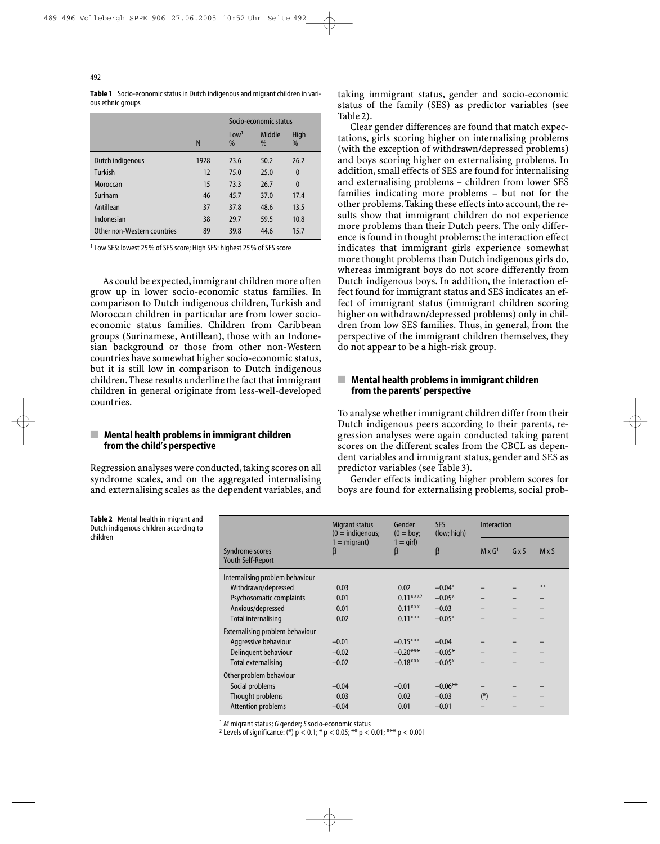Table 1 Socio-economic status in Dutch indigenous and migrant children in various ethnic groups

|                             |      | Socio-economic status    |                |              |  |
|-----------------------------|------|--------------------------|----------------|--------------|--|
|                             | N    | Low <sup>1</sup><br>$\%$ | Middle<br>$\%$ | High<br>$\%$ |  |
| Dutch indigenous            | 1928 | 23.6                     | 50.2           | 26.2         |  |
| Turkish                     | 12   | 75.0                     | 25.0           | $\mathbf 0$  |  |
| Moroccan                    | 15   | 73.3                     | 26.7           | $\mathbf 0$  |  |
| Surinam                     | 46   | 45.7                     | 37.0           | 17.4         |  |
| Antillean                   | 37   | 37.8                     | 48.6           | 13.5         |  |
| Indonesian                  | 38   | 29.7                     | 59.5           | 10.8         |  |
| Other non-Western countries | 89   | 39.8                     | 44.6           | 15.7         |  |

<sup>1</sup> Low SES: lowest 25% of SES score; High SES: highest 25% of SES score

As could be expected, immigrant children more often grow up in lower socio-economic status families. In comparison to Dutch indigenous children, Turkish and Moroccan children in particular are from lower socioeconomic status families. Children from Caribbean groups (Surinamese, Antillean), those with an Indonesian background or those from other non-Western countries have somewhat higher socio-economic status, but it is still low in comparison to Dutch indigenous children.These results underline the fact that immigrant children in general originate from less-well-developed countries.

#### $\blacksquare$  Mental health problems in immigrant children from the child's perspective

Regression analyses were conducted, taking scores on all syndrome scales, and on the aggregated internalising and externalising scales as the dependent variables, and taking immigrant status, gender and socio-economic status of the family (SES) as predictor variables (see Table 2).

Clear gender differences are found that match expectations, girls scoring higher on internalising problems (with the exception of withdrawn/depressed problems) and boys scoring higher on externalising problems. In addition, small effects of SES are found for internalising and externalising problems – children from lower SES families indicating more problems – but not for the other problems. Taking these effects into account, the results show that immigrant children do not experience more problems than their Dutch peers. The only difference is found in thought problems: the interaction effect indicates that immigrant girls experience somewhat more thought problems than Dutch indigenous girls do, whereas immigrant boys do not score differently from Dutch indigenous boys. In addition, the interaction effect found for immigrant status and SES indicates an effect of immigrant status (immigrant children scoring higher on withdrawn/depressed problems) only in children from low SES families. Thus, in general, from the perspective of the immigrant children themselves, they do not appear to be a high-risk group.

### $\blacksquare$  Mental health problems in immigrant children from the parents' perspective

To analyse whether immigrant children differ from their Dutch indigenous peers according to their parents, regression analyses were again conducted taking parent scores on the different scales from the CBCL as dependent variables and immigrant status, gender and SES as predictor variables (see Table 3).

Gender effects indicating higher problem scores for boys are found for externalising problems, social prob-

Table 2 Mental health in migrant and Dutch indigenous children according to children

|                                             | Migrant status<br>$(0 =$ indigenous; | Gender<br>$(0 = boy;$  | <b>SES</b><br>(low; high) | <b>Interaction</b> |     |      |
|---------------------------------------------|--------------------------------------|------------------------|---------------------------|--------------------|-----|------|
| Syndrome scores<br><b>Youth Self-Report</b> | $1 =$ migrant)<br>β                  | $1 = \text{qirl}$<br>β | $\beta$                   | $M \times G1$      | GxS | MxS  |
| Internalising problem behaviour             |                                      |                        |                           |                    |     |      |
| Withdrawn/depressed                         | 0.03                                 | 0.02                   | $-0.04*$                  |                    |     | $**$ |
| Psychosomatic complaints                    | 0.01                                 | $0.11***^2$            | $-0.05*$                  |                    |     |      |
| Anxious/depressed                           | 0.01                                 | $0.11***$              | $-0.03$                   |                    |     |      |
| Total internalising                         | 0.02                                 | $0.11***$              | $-0.05*$                  |                    |     |      |
| Externalising problem behaviour             |                                      |                        |                           |                    |     |      |
| Aggressive behaviour                        | $-0.01$                              | $-0.15***$             | $-0.04$                   |                    |     |      |
| Delinguent behaviour                        | $-0.02$                              | $-0.20***$             | $-0.05*$                  |                    |     |      |
| Total externalising                         | $-0.02$                              | $-0.18***$             | $-0.05*$                  |                    |     |      |
| Other problem behaviour                     |                                      |                        |                           |                    |     |      |
| Social problems                             | $-0.04$                              | $-0.01$                | $-0.06**$                 |                    |     |      |
| Thought problems                            | 0.03                                 | 0.02                   | $-0.03$                   | $(*)$              |     |      |
| Attention problems                          | $-0.04$                              | 0.01                   | $-0.01$                   |                    |     |      |

 $1 M$  migrant status; G gender; S socio-economic status

<sup>2</sup> Levels of significance: (\*) p < 0.1; \* p < 0.05; \*\* p < 0.01; \*\*\* p < 0.001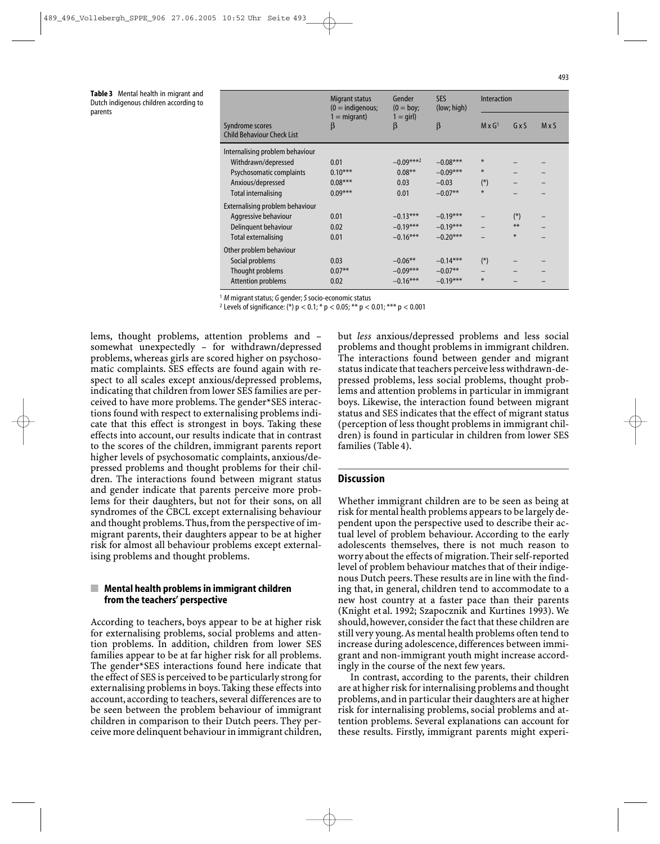Table 3 Mental health in migrant and Dutch indigenous children according to parents

|                                                      | Migrant status<br>$(0 =$ indigenous;<br>$=$ migrant)<br>β | Gender<br>$(0 = boy;$<br>$1 = \text{qirl}$<br>β | <b>SES</b><br>(low; high) | Interaction   |        |     |
|------------------------------------------------------|-----------------------------------------------------------|-------------------------------------------------|---------------------------|---------------|--------|-----|
| Syndrome scores<br><b>Child Behaviour Check List</b> |                                                           |                                                 | β                         | $M \times G1$ | GxS    | MxS |
| Internalising problem behaviour                      |                                                           |                                                 |                           |               |        |     |
| Withdrawn/depressed                                  | 0.01                                                      | $-0.09***2$                                     | $-0.08***$                | $\ast$        |        |     |
| Psychosomatic complaints                             | $0.10***$                                                 | $0.08***$                                       | $-0.09***$                | $\ast$        |        |     |
| Anxious/depressed                                    | $0.08***$                                                 | 0.03                                            | $-0.03$                   | $(*)$         |        |     |
| Total internalising                                  | $0.09***$                                                 | 0.01                                            | $-0.07**$                 | $\ast$        |        |     |
| Externalising problem behaviour                      |                                                           |                                                 |                           |               |        |     |
| Aggressive behaviour                                 | 0.01                                                      | $-0.13***$                                      | $-0.19***$                |               | $(*)$  |     |
| Delinguent behaviour                                 | 0.02                                                      | $-0.19***$                                      | $-0.19***$                |               | $**$   |     |
| Total externalising                                  | 0.01                                                      | $-0.16***$                                      | $-0.20***$                |               | $\ast$ |     |
| Other problem behaviour                              |                                                           |                                                 |                           |               |        |     |
| Social problems                                      | 0.03                                                      | $-0.06**$                                       | $-0.14***$                | $(*)$         |        |     |
| Thought problems                                     | $0.07**$                                                  | $-0.09***$                                      | $-0.07**$                 |               |        |     |
| <b>Attention problems</b>                            | 0.02                                                      | $-0.16***$                                      | $-0.19***$                | $\ast$        |        |     |

 $1 M$  migrant status; G gender; S socio-economic status

<sup>2</sup> Levels of significance: (\*)  $p < 0.1$ ; \*  $p < 0.05$ ; \* \*  $p < 0.01$ ; \* \*  $p < 0.001$ 

lems, thought problems, attention problems and – somewhat unexpectedly – for withdrawn/depressed problems, whereas girls are scored higher on psychosomatic complaints. SES effects are found again with respect to all scales except anxious/depressed problems, indicating that children from lower SES families are perceived to have more problems. The gender\*SES interactions found with respect to externalising problems indicate that this effect is strongest in boys. Taking these effects into account, our results indicate that in contrast to the scores of the children, immigrant parents report higher levels of psychosomatic complaints, anxious/depressed problems and thought problems for their children. The interactions found between migrant status and gender indicate that parents perceive more problems for their daughters, but not for their sons, on all syndromes of the CBCL except externalising behaviour and thought problems.Thus,from the perspective of immigrant parents, their daughters appear to be at higher risk for almost all behaviour problems except externalising problems and thought problems.

#### Mental health problems in immigrant children from the teachers' perspective

According to teachers, boys appear to be at higher risk for externalising problems, social problems and attention problems. In addition, children from lower SES families appear to be at far higher risk for all problems. The gender\*SES interactions found here indicate that the effect of SES is perceived to be particularly strong for externalising problems in boys. Taking these effects into account, according to teachers, several differences are to be seen between the problem behaviour of immigrant children in comparison to their Dutch peers. They perceive more delinquent behaviour in immigrant children, but *less* anxious/depressed problems and less social problems and thought problems in immigrant children. The interactions found between gender and migrant status indicate that teachers perceive less withdrawn-depressed problems, less social problems, thought problems and attention problems in particular in immigrant boys. Likewise, the interaction found between migrant status and SES indicates that the effect of migrant status (perception of less thought problems in immigrant children) is found in particular in children from lower SES families (Table 4).

#### **Discussion**

Whether immigrant children are to be seen as being at risk for mental health problems appears to be largely dependent upon the perspective used to describe their actual level of problem behaviour. According to the early adolescents themselves, there is not much reason to worry about the effects of migration.Their self-reported level of problem behaviour matches that of their indigenous Dutch peers. These results are in line with the finding that, in general, children tend to accommodate to a new host country at a faster pace than their parents (Knight et al. 1992; Szapocznik and Kurtines 1993). We should, however, consider the fact that these children are still very young.As mental health problems often tend to increase during adolescence, differences between immigrant and non-immigrant youth might increase accordingly in the course of the next few years.

In contrast, according to the parents, their children are at higher risk for internalising problems and thought problems,and in particular their daughters are at higher risk for internalising problems, social problems and attention problems. Several explanations can account for these results. Firstly, immigrant parents might experi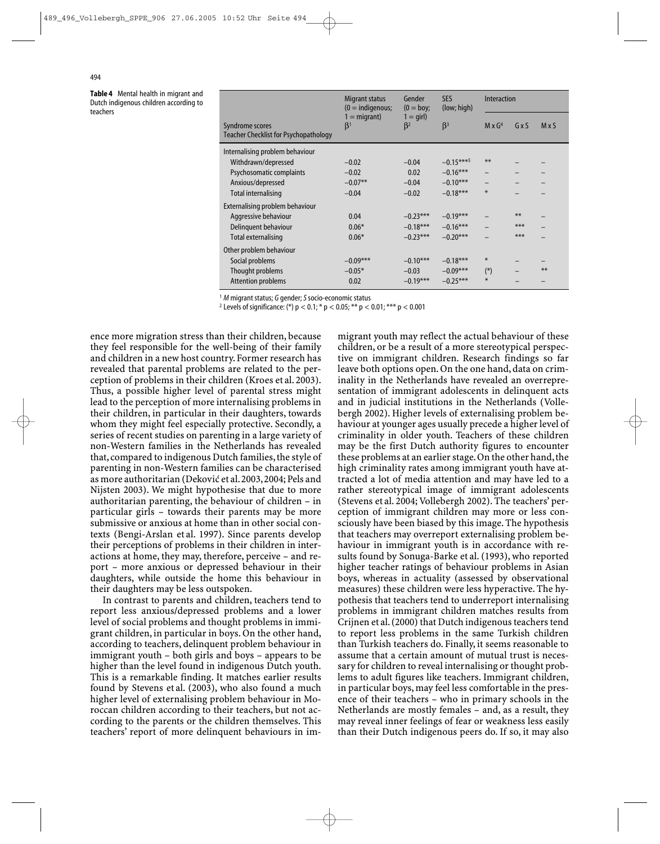Table 4 Mental health in migrant and Dutch indigenous children according to teachers

| Syndrome scores<br><b>Teacher Checklist for Psychopathology</b> | Migrant status<br>$(0 =$ indigenous;<br>$1 =$ migrant)<br>$\beta^1$ | Gender<br>$(0 = boy;$<br>$1 = \text{qirl}$<br>$\beta^2$ | <b>SES</b><br>(low; high) | Interaction   |       |       |
|-----------------------------------------------------------------|---------------------------------------------------------------------|---------------------------------------------------------|---------------------------|---------------|-------|-------|
|                                                                 |                                                                     |                                                         | $\beta$ <sup>3</sup>      | $M \times G4$ | GxS   | MxS   |
| Internalising problem behaviour                                 |                                                                     |                                                         |                           |               |       |       |
| Withdrawn/depressed                                             | $-0.02$                                                             | $-0.04$                                                 | $-0.15***$                | $**$          |       |       |
| Psychosomatic complaints                                        | $-0.02$                                                             | 0.02                                                    | $-0.16***$                |               |       |       |
| Anxious/depressed                                               | $-0.07**$                                                           | $-0.04$                                                 | $-0.10***$                |               |       |       |
| <b>Total internalising</b>                                      | $-0.04$                                                             | $-0.02$                                                 | $-0.18***$                | $\ast$        |       |       |
| Externalising problem behaviour                                 |                                                                     |                                                         |                           |               |       |       |
| Aggressive behaviour                                            | 0.04                                                                | $-0.23***$                                              | $-0.19***$                |               | $***$ |       |
| Delinguent behaviour                                            | $0.06*$                                                             | $-0.18***$                                              | $-0.16***$                |               | $***$ |       |
| Total externalising                                             | $0.06*$                                                             | $-0.23***$                                              | $-0.20***$                |               | $***$ |       |
| Other problem behaviour                                         |                                                                     |                                                         |                           |               |       |       |
| Social problems                                                 | $-0.09***$                                                          | $-0.10***$                                              | $-0.18***$                | $\ast$        |       |       |
| Thought problems                                                | $-0.05*$                                                            | $-0.03$                                                 | $-0.09***$                | $(*)$         |       | $***$ |
| Attention problems                                              | 0.02                                                                | $-0.19***$                                              | $-0.25***$                | $\ast$        |       |       |

 $1 M$  migrant status; G gender; S socio-economic status

<sup>2</sup> Levels of significance: (\*)  $p < 0.1$ ; \*  $p < 0.05$ ; \* \*  $p < 0.01$ ; \* \* \*  $p < 0.001$ 

ence more migration stress than their children, because they feel responsible for the well-being of their family and children in a new host country. Former research has revealed that parental problems are related to the perception of problems in their children (Kroes et al. 2003). Thus, a possible higher level of parental stress might lead to the perception of more internalising problems in their children, in particular in their daughters, towards whom they might feel especially protective. Secondly, a series of recent studies on parenting in a large variety of non-Western families in the Netherlands has revealed that, compared to indigenous Dutch families, the style of parenting in non-Western families can be characterised as more authoritarian (Deković et al. 2003, 2004; Pels and Nijsten 2003). We might hypothesise that due to more authoritarian parenting, the behaviour of children – in particular girls – towards their parents may be more submissive or anxious at home than in other social contexts (Bengi-Arslan et al. 1997). Since parents develop their perceptions of problems in their children in interactions at home, they may, therefore, perceive – and report – more anxious or depressed behaviour in their daughters, while outside the home this behaviour in their daughters may be less outspoken.

In contrast to parents and children, teachers tend to report less anxious/depressed problems and a lower level of social problems and thought problems in immigrant children, in particular in boys. On the other hand, according to teachers, delinquent problem behaviour in immigrant youth – both girls and boys – appears to be higher than the level found in indigenous Dutch youth. This is a remarkable finding. It matches earlier results found by Stevens et al. (2003), who also found a much higher level of externalising problem behaviour in Moroccan children according to their teachers, but not according to the parents or the children themselves. This teachers' report of more delinquent behaviours in immigrant youth may reflect the actual behaviour of these children, or be a result of a more stereotypical perspective on immigrant children. Research findings so far leave both options open. On the one hand, data on criminality in the Netherlands have revealed an overrepresentation of immigrant adolescents in delinquent acts and in judicial institutions in the Netherlands (Vollebergh 2002). Higher levels of externalising problem behaviour at younger ages usually precede a higher level of criminality in older youth. Teachers of these children may be the first Dutch authority figures to encounter these problems at an earlier stage. On the other hand, the high criminality rates among immigrant youth have attracted a lot of media attention and may have led to a rather stereotypical image of immigrant adolescents (Stevens et al. 2004; Vollebergh 2002). The teachers' perception of immigrant children may more or less consciously have been biased by this image. The hypothesis that teachers may overreport externalising problem behaviour in immigrant youth is in accordance with results found by Sonuga-Barke et al. (1993), who reported higher teacher ratings of behaviour problems in Asian boys, whereas in actuality (assessed by observational measures) these children were less hyperactive. The hypothesis that teachers tend to underreport internalising problems in immigrant children matches results from Crijnen et al.(2000) that Dutch indigenous teachers tend to report less problems in the same Turkish children than Turkish teachers do. Finally, it seems reasonable to assume that a certain amount of mutual trust is necessary for children to reveal internalising or thought problems to adult figures like teachers. Immigrant children, in particular boys, may feel less comfortable in the presence of their teachers – who in primary schools in the Netherlands are mostly females – and, as a result, they may reveal inner feelings of fear or weakness less easily than their Dutch indigenous peers do. If so, it may also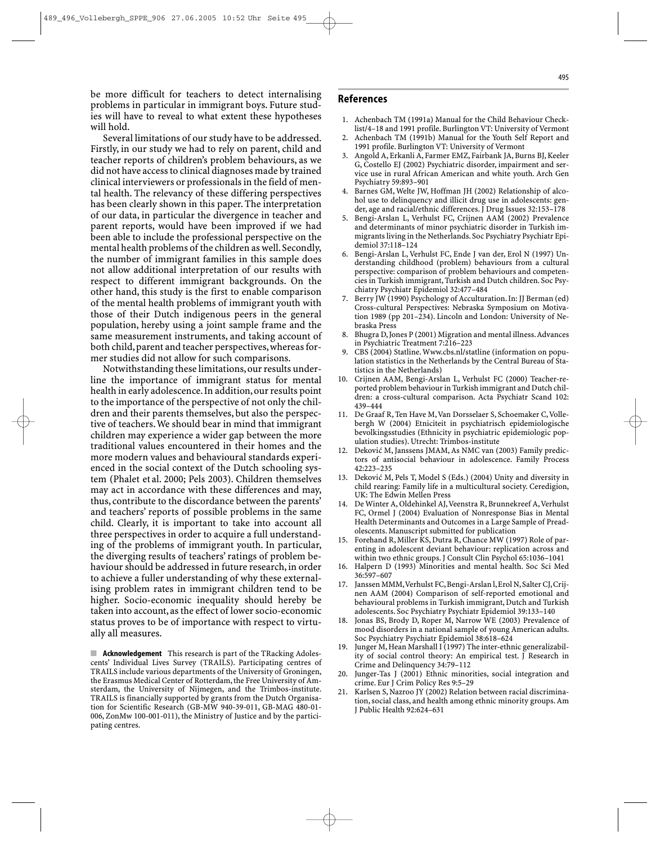be more difficult for teachers to detect internalising problems in particular in immigrant boys. Future studies will have to reveal to what extent these hypotheses will hold.

Several limitations of our study have to be addressed. Firstly, in our study we had to rely on parent, child and teacher reports of children's problem behaviours, as we did not have access to clinical diagnoses made by trained clinical interviewers or professionals in the field of mental health. The relevancy of these differing perspectives has been clearly shown in this paper. The interpretation of our data, in particular the divergence in teacher and parent reports, would have been improved if we had been able to include the professional perspective on the mental health problems of the children as well. Secondly, the number of immigrant families in this sample does not allow additional interpretation of our results with respect to different immigrant backgrounds. On the other hand, this study is the first to enable comparison of the mental health problems of immigrant youth with those of their Dutch indigenous peers in the general population, hereby using a joint sample frame and the same measurement instruments, and taking account of both child,parent and teacher perspectives,whereas former studies did not allow for such comparisons.

Notwithstanding these limitations,our results underline the importance of immigrant status for mental health in early adolescence.In addition,our results point to the importance of the perspective of not only the children and their parents themselves, but also the perspective of teachers. We should bear in mind that immigrant children may experience a wider gap between the more traditional values encountered in their homes and the more modern values and behavioural standards experienced in the social context of the Dutch schooling system (Phalet et al. 2000; Pels 2003). Children themselves may act in accordance with these differences and may, thus, contribute to the discordance between the parents' and teachers' reports of possible problems in the same child. Clearly, it is important to take into account all three perspectives in order to acquire a full understanding of the problems of immigrant youth. In particular, the diverging results of teachers' ratings of problem behaviour should be addressed in future research, in order to achieve a fuller understanding of why these externalising problem rates in immigrant children tend to be higher. Socio-economic inequality should hereby be taken into account,as the effect of lower socio-economic status proves to be of importance with respect to virtually all measures.

■ **Acknowledgement** This research is part of the TRacking Adolescents' Individual Lives Survey (TRAILS). Participating centres of TRAILS include various departments of the University of Groningen, the Erasmus Medical Center of Rotterdam, the Free University of Amsterdam, the University of Nijmegen, and the Trimbos-institute. TRAILS is financially supported by grants from the Dutch Organisation for Scientific Research (GB-MW 940-39-011, GB-MAG 480-01-006, ZonMw 100-001-011), the Ministry of Justice and by the participating centres.

#### References

- 1. Achenbach TM (1991a) Manual for the Child Behaviour Checklist/4–18 and 1991 profile. Burlington VT: University of Vermont
- 2. Achenbach TM (1991b) Manual for the Youth Self Report and 1991 profile. Burlington VT: University of Vermont
- 3. Angold A, Erkanli A, Farmer EMZ, Fairbank JA, Burns BJ, Keeler G, Costello EJ (2002) Psychiatric disorder, impairment and service use in rural African American and white youth. Arch Gen Psychiatry 59:893–901
- 4. Barnes GM, Welte JW, Hoffman JH (2002) Relationship of alcohol use to delinquency and illicit drug use in adolescents: gender, age and racial/ethnic differences. J Drug Issues 32:153–178
- 5. Bengi-Arslan L, Verhulst FC, Crijnen AAM (2002) Prevalence and determinants of minor psychiatric disorder in Turkish immigrants living in the Netherlands. Soc Psychiatry Psychiatr Epidemiol 37:118–124
- 6. Bengi-Arslan L, Verhulst FC, Ende J van der, Erol N (1997) Understanding childhood (problem) behaviours from a cultural perspective: comparison of problem behaviours and competencies in Turkish immigrant, Turkish and Dutch children. Soc Psychiatry Psychiatr Epidemiol 32:477–484
- Berry JW (1990) Psychology of Acculturation. In: JJ Berman (ed) Cross-cultural Perspectives: Nebraska Symposium on Motivation 1989 (pp 201–234). Lincoln and London: University of Nebraska Press
- 8. Bhugra D, Jones P (2001) Migration and mental illness.Advances in Psychiatric Treatment 7:216–223
- 9. CBS (2004) Statline. Www.cbs.nl/statline (information on population statistics in the Netherlands by the Central Bureau of Statistics in the Netherlands)
- 10. Crijnen AAM, Bengi-Arslan L, Verhulst FC (2000) Teacher-reported problem behaviour in Turkish immigrant and Dutch children: a cross-cultural comparison. Acta Psychiatr Scand 102: 439–444
- 11. De Graaf R, Ten Have M,Van Dorsselaer S, Schoemaker C,Vollebergh W (2004) Etniciteit in psychiatrisch epidemiologische bevolkingsstudies (Ethnicity in psychiatric epidemiologic population studies). Utrecht: Trimbos-institute
- 12. Deković M, Janssens JMAM, As NMC van (2003) Family predictors of antisocial behaviour in adolescence. Family Process 42:223–235
- 13. Deković M, Pels T, Model S (Eds.) (2004) Unity and diversity in child rearing: Family life in a multicultural society. Ceredigion, UK: The Edwin Mellen Press
- 14. De Winter A, Oldehinkel AJ,Veenstra R, Brunnekreef A,Verhulst FC, Ormel J (2004) Evaluation of Nonresponse Bias in Mental Health Determinants and Outcomes in a Large Sample of Preadolescents. Manuscript submitted for publication
- 15. Forehand R, Miller KS, Dutra R, Chance MW (1997) Role of parenting in adolescent deviant behaviour: replication across and within two ethnic groups. J Consult Clin Psychol 65:1036–1041
- 16. Halpern D (1993) Minorities and mental health. Soc Sci Med 36:597–607
- 17. Janssen MMM,Verhulst FC,Bengi-Arslan l,Erol N,Salter CJ,Crijnen AAM (2004) Comparison of self-reported emotional and behavioural problems in Turkish immigrant, Dutch and Turkish adolescents. Soc Psychiatry Psychiatr Epidemiol 39:133–140
- 18. Jonas BS, Brody D, Roper M, Narrow WE (2003) Prevalence of mood disorders in a national sample of young American adults. Soc Psychiatry Psychiatr Epidemiol 38:618–624
- 19. Junger M, Hean Marshall I (1997) The inter-ethnic generalizability of social control theory: An empirical test. J Research in Crime and Delinquency 34:79–112
- 20. Junger-Tas J (2001) Ethnic minorities, social integration and crime. Eur J Crim Policy Res 9:5–29
- 21. Karlsen S, Nazroo JY (2002) Relation between racial discrimination, social class, and health among ethnic minority groups. Am J Public Health 92:624–631